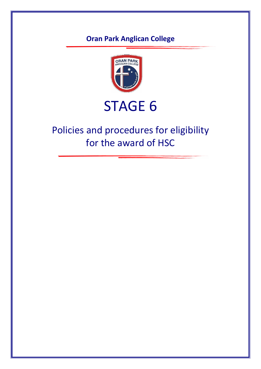## **Oran Park Anglican College**



# STAGE 6

# Policies and procedures for eligibility for the award of HSC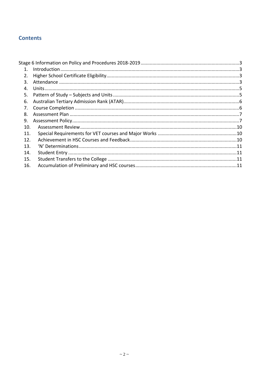#### **Contents**

| $1_{\cdot}$ |  |
|-------------|--|
| 2.          |  |
| 3.          |  |
| 4.          |  |
| .5.         |  |
| 6.          |  |
| 7.          |  |
| 8.          |  |
| 9.          |  |
| 10.         |  |
| 11.         |  |
| 12.         |  |
| 13.         |  |
| 14.         |  |
| 15.         |  |
| 16.         |  |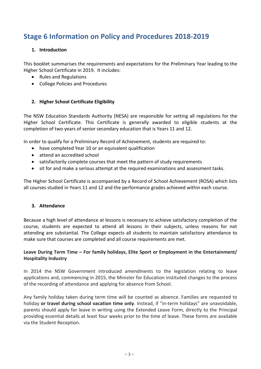### <span id="page-2-1"></span><span id="page-2-0"></span>**Stage 6 Information on Policy and Procedures 2018-2019**

#### **1. Introduction**

This booklet summarises the requirements and expectations for the Preliminary Year leading to the Higher School Certificate in 2019. It includes:

- Rules and Regulations
- College Policies and Procedures

#### <span id="page-2-2"></span>**2. Higher School Certificate Eligibility**

The NSW Education Standards Authority (NESA) are responsible for setting all regulations for the Higher School Certificate. This Certificate is generally awarded to eligible students at the completion of two years of senior secondary education that is Years 11 and 12.

In order to qualify for a Preliminary Record of Achievement, students are required to:

- have completed Year 10 or an equivalent qualification
- attend an accredited school
- satisfactorily complete courses that meet the pattern of study requirements
- sit for and make a serious attempt at the required examinations and assessment tasks.

The Higher School Certificate is accompanied by a Record of School Achievement (ROSA) which lists all courses studied in Years 11 and 12 and the performance grades achieved within each course.

#### <span id="page-2-3"></span>**3. Attendance**

Because a high level of attendance at lessons is necessary to achieve satisfactory completion of the course, students are expected to attend all lessons in their subjects, unless reasons for not attending are substantial. The College expects all students to maintain satisfactory attendance to make sure that courses are completed and all course requirements are met.

#### **Leave During Term Time – For family holidays, Elite Sport or Employment in the Entertainment/ Hospitality Industry**

In 2014 the NSW Government introduced amendments to the legislation relating to leave applications and, commencing in 2015, the Minister for Education instituted changes to the process of the recording of attendance and applying for absence from School.

Any family holiday taken during term time will be counted as absence. Families are requested to holiday **or travel during school vacation time only**. Instead, if "in-term holidays" are unavoidable, parents should apply for leave in writing using the Extended Leave Form, directly to the Principal providing essential details at least four weeks prior to the time of leave. These forms are available via the Student Reception.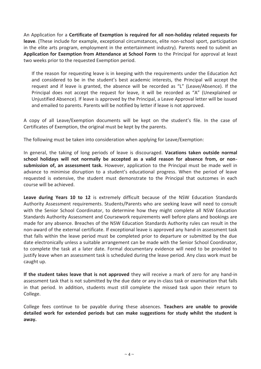An Application for a **Certificate of Exemption is required for all non-holiday related requests for leave**. (These include for example, exceptional circumstances, elite non-school sport, participation in the elite arts program, employment in the entertainment industry). Parents need to submit an **Application for Exemption from Attendance at School Form** to the Principal for approval at least two weeks prior to the requested Exemption period.

If the reason for requesting leave is in keeping with the requirements under the Education Act and considered to be in the student's best academic interests, the Principal will accept the request and if leave is granted, the absence will be recorded as "L" (Leave/Absence). If the Principal does not accept the request for leave, it will be recorded as "A" (Unexplained or Unjustified Absence). If leave is approved by the Principal, a Leave Approval letter will be issued and emailed to parents. Parents will be notified by letter if leave is not approved.

A copy of all Leave/Exemption documents will be kept on the student's file. In the case of Certificates of Exemption, the original must be kept by the parents.

The following must be taken into consideration when applying for Leave/Exemption:

In general, the taking of long periods of leave is discouraged. **Vacations taken outside normal school holidays will not normally be accepted as a valid reason for absence from, or nonsubmission of, an assessment task.** However, application to the Principal must be made well in advance to minimise disruption to a student's educational progress. When the period of leave requested is extensive, the student must demonstrate to the Principal that outcomes in each course will be achieved.

**Leave during Years 10 to 12** is extremely difficult because of the NSW Education Standards Authority Assessment requirements. Students/Parents who are seeking leave will need to consult with the Senior School Coordinator, to determine how they might complete all NSW Education Standards Authority Assessment and Coursework requirements well before plans and bookings are made for any absence. Breaches of the NSW Education Standards Authority rules can result in the non-award of the external certificate. If exceptional leave is approved any hand-in assessment task that falls within the leave period must be completed prior to departure or submitted by the due date electronically unless a suitable arrangement can be made with the Senior School Coordinator, to complete the task at a later date. Formal documentary evidence will need to be provided to justify leave when an assessment task is scheduled during the leave period. Any class work must be caught up.

**If the student takes leave that is not approved** they will receive a mark of zero for any hand-in assessment task that is not submitted by the due date or any in-class task or examination that falls in that period. In addition, students must still complete the missed task upon their return to College.

College fees continue to be payable during these absences. **Teachers are unable to provide detailed work for extended periods but can make suggestions for study whilst the student is away.**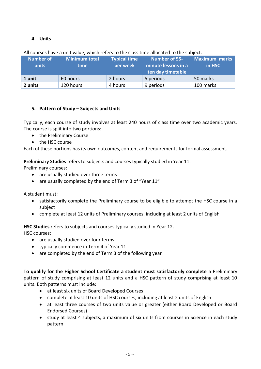#### **4. Units**

| <b>Number of</b><br>units | Minimum total<br><b>time</b> | <b>Typical time</b><br>per week | <b>Number of 55-</b><br>minute lessons in a<br>ten day timetable | <b>Maximum marks</b><br>in HSC |
|---------------------------|------------------------------|---------------------------------|------------------------------------------------------------------|--------------------------------|
| 1 unit                    | 60 hours                     | 2 hours                         | 5 periods                                                        | 50 marks                       |
| 2 units                   | 120 hours                    | 4 hours                         | 9 periods                                                        | 100 marks                      |

#### All courses have a unit value, which refers to the class time allocated to the subject.

#### <span id="page-4-0"></span>**5. Pattern of Study – Subjects and Units**

Typically, each course of study involves at least 240 hours of class time over two academic years. The course is split into two portions:

- the Preliminary Course
- the HSC course

Each of these portions has its own outcomes, content and requirements for formal assessment.

**Preliminary Studies** refers to subjects and courses typically studied in Year 11.

Preliminary courses:

- are usually studied over three terms
- are usually completed by the end of Term 3 of "Year 11"

A student must:

- satisfactorily complete the Preliminary course to be eligible to attempt the HSC course in a subject
- complete at least 12 units of Preliminary courses, including at least 2 units of English

**HSC Studies** refers to subjects and courses typically studied in Year 12.

HSC courses:

- are usually studied over four terms
- typically commence in Term 4 of Year 11
- are completed by the end of Term 3 of the following year

**To qualify for the Higher School Certificate a student must satisfactorily complete** a Preliminary pattern of study comprising at least 12 units and a HSC pattern of study comprising at least 10 units. Both patterns must include:

- at least six units of Board Developed Courses
- complete at least 10 units of HSC courses, including at least 2 units of English
- at least three courses of two units value or greater (either Board Developed or Board Endorsed Courses)
- study at least 4 subjects, a maximum of six units from courses in Science in each study pattern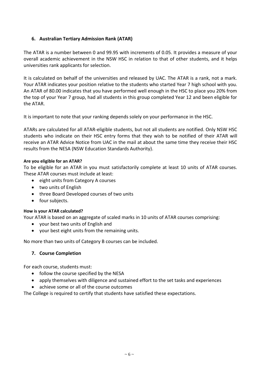#### **6. Australian Tertiary Admission Rank (ATAR)**

The ATAR is a number between 0 and 99.95 with increments of 0.05. It provides a measure of your overall academic achievement in the NSW HSC in relation to that of other students, and it helps universities rank applicants for selection.

It is calculated on behalf of the universities and released by UAC. The ATAR is a rank, not a mark. Your ATAR indicates your position relative to the students who started Year 7 high school with you. An ATAR of 80.00 indicates that you have performed well enough in the HSC to place you 20% from the top of your Year 7 group, had all students in this group completed Year 12 and been eligible for the ATAR.

It is important to note that your ranking depends solely on your performance in the HSC.

ATARs are calculated for all ATAR-eligible students, but not all students are notified. Only NSW HSC students who indicate on their HSC entry forms that they wish to be notified of their ATAR will receive an ATAR Advice Notice from UAC in the mail at about the same time they receive their HSC results from the NESA (NSW Education Standards Authority).

#### **Are you eligible for an ATAR?**

To be eligible for an ATAR in you must satisfactorily complete at least 10 units of ATAR courses. These ATAR courses must include at least:

- eight units from Category A courses
- two units of English
- three Board Developed courses of two units
- four subjects.

#### **How is your ATAR calculated?**

Your ATAR is based on an aggregate of scaled marks in 10 units of ATAR courses comprising:

- your best two units of English and
- your best eight units from the remaining units.

<span id="page-5-0"></span>No more than two units of Category B courses can be included.

#### **7. Course Completion**

For each course, students must:

- follow the course specified by the NESA
- apply themselves with diligence and sustained effort to the set tasks and experiences
- achieve some or all of the course outcomes

The College is required to certify that students have satisfied these expectations.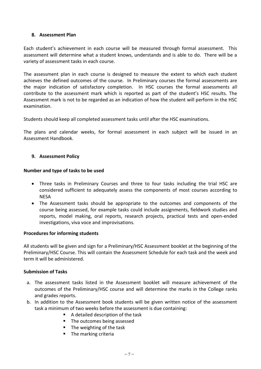#### <span id="page-6-0"></span>**8. Assessment Plan**

Each student's achievement in each course will be measured through formal assessment. This assessment will determine what a student knows, understands and is able to do. There will be a variety of assessment tasks in each course.

The assessment plan in each course is designed to measure the extent to which each student achieves the defined outcomes of the course. In Preliminary courses the formal assessments are the major indication of satisfactory completion. In HSC courses the formal assessments all contribute to the assessment mark which is reported as part of the student's HSC results. The Assessment mark is not to be regarded as an indication of how the student will perform in the HSC examination.

Students should keep all completed assessment tasks until after the HSC examinations.

The plans and calendar weeks, for formal assessment in each subject will be issued in an Assessment Handbook.

#### <span id="page-6-1"></span>**9. Assessment Policy**

#### **Number and type of tasks to be used**

- Three tasks in Preliminary Courses and three to four tasks including the trial HSC are considered sufficient to adequately assess the components of most courses according to NESA
- The Assessment tasks should be appropriate to the outcomes and components of the course being assessed, for example tasks could include assignments, fieldwork studies and reports, model making, oral reports, research projects, practical tests and open-ended investigations, viva voce and improvisations.

#### **Procedures for informing students**

All students will be given and sign for a Preliminary/HSC Assessment booklet at the beginning of the Preliminary/HSC Course. This will contain the Assessment Schedule for each task and the week and term it will be administered.

#### **Submission of Tasks**

- a. The assessment tasks listed in the Assessment booklet will measure achievement of the outcomes of the Preliminary/HSC course and will determine the marks in the College ranks and grades reports.
- b. In addition to the Assessment book students will be given written notice of the assessment task a minimum of two weeks before the assessment is due containing:
	- A detailed description of the task
	- The outcomes being assessed
	- **The weighting of the task**
	- **The marking criteria**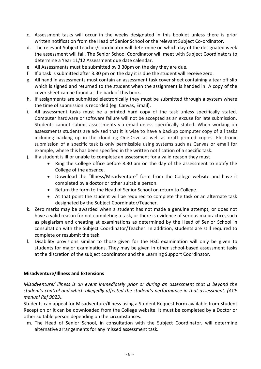- c. Assessment tasks will occur in the weeks designated in this booklet unless there is prior written notification from the Head of Senior School or the relevant Subject Co-ordinator.
- d. The relevant Subject teacher/coordinator will determine on which day of the designated week the assessment will fall. The Senior School Coordinator will meet with Subject Coordinators to determine a Year 11/12 Assessment due date calendar.
- e. All Assessments must be submitted by 3.30pm on the day they are due.
- f. If a task is submitted after 3.30 pm on the day it is due the student will receive zero.
- g. All hand in assessments must contain an assessment task cover sheet containing a tear off slip which is signed and returned to the student when the assignment is handed in. A copy of the cover sheet can be found at the back of this book.
- h. If assignments are submitted electronically they must be submitted through a system where the time of submission is recorded (eg. Canvas, Email).
- i. All assessment tasks must be a printed hard copy of the task unless specifically stated. Computer hardware or software failure will not be accepted as an excuse for late submission. Students cannot submit assessments via email unless specifically stated. When working on assessments students are advised that it is wise to have a backup computer copy of all tasks including backing up in the cloud eg OneDrive as well as draft printed copies. Electronic submission of a specific task is only permissible using systems such as Canvas or email for example, where this has been specified in the written notification of a specific task.
- j. If a student is ill or unable to complete an assessment for a valid reason they must
	- Ring the College office before 8.30 am on the day of the assessment to notify the College of the absence.
	- Download the "Illness/Misadventure" form from the College website and have it completed by a doctor or other suitable person.
	- Return the form to the Head of Senior School on return to College.
	- At that point the student will be required to complete the task or an alternate task designated by the Subject Coordinator/Teacher.
- k. Zero marks may be awarded when a student has not made a genuine attempt, or does not have a valid reason for not completing a task, or there is evidence of serious malpractice, such as plagiarism and cheating at examinations as determined by the Head of Senior School in consultation with the Subject Coordinator/Teacher. In addition, students are still required to complete or resubmit the task.
- l. Disability provisions similar to those given for the HSC examination will only be given to students for major examinations. They may be given in other school-based assessment tasks at the discretion of the subject coordinator and the Learning Support Coordinator.

#### **Misadventure/Illness and Extensions**

*Misadventure/ illness is an event immediately prior or during an assessment that is beyond the student's control and which allegedly affected the student's performance in that assessment. (ACE manual Ref 9023).*

Students can appeal for Misadventure/Illness using a Student Request Form available from Student Reception or it can be downloaded from the College website. It must be completed by a Doctor or other suitable person depending on the circumstances.

m. The Head of Senior School, in consultation with the Subject Coordinator, will determine alternative arrangements for any missed assessment task.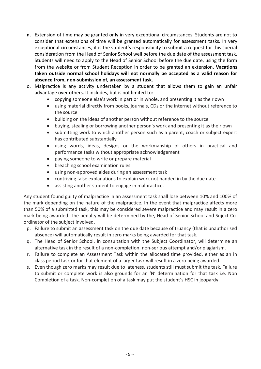- **n.** Extension of time may be granted only in very exceptional circumstances. Students are not to consider that extensions of time will be granted automatically for assessment tasks. In very exceptional circumstances, it is the student's responsibility to submit a request for this special consideration from the Head of Senior School well before the due date of the assessment task. Students will need to apply to the Head of Senior School before the due date, using the form from the website or from Student Reception in order to be granted an extension. **Vacations taken outside normal school holidays will not normally be accepted as a valid reason for absence from, non-submission of, an assessment task.**
- o. Malpractice is any activity undertaken by a student that allows them to gain an unfair advantage over others. It includes, but is not limited to:
	- copying someone else's work in part or in whole, and presenting it as their own
	- using material directly from books, journals, CDs or the internet without reference to the source
	- building on the ideas of another person without reference to the source
	- buying, stealing or borrowing another person's work and presenting it as their own
	- submitting work to which another person such as a parent, coach or subject expert has contributed substantially
	- using words, ideas, designs or the workmanship of others in practical and performance tasks without appropriate acknowledgement
	- paying someone to write or prepare material
	- breaching school examination rules
	- using non-approved aides during an assessment task
	- contriving false explanations to explain work not handed in by the due date
	- assisting another student to engage in malpractice.

Any student found guilty of malpractice in an assessment task shall lose between 10% and 100% of the mark depending on the nature of the malpractice. In the event that malpractice affects more than 50% of a submitted task, this may be considered severe malpractice and may result in a zero mark being awarded. The penalty will be determined by the, Head of Senior School and Suject Coordinator of the subject involved.

- p. Failure to submit an assessment task on the due date because of truancy (that is unauthorised absence) will automatically result in zero marks being awarded for that task.
- q. The Head of Senior School, in consultation with the Subject Coordinator, will determine an alternative task in the result of a non-completion, non-serious attempt and/or plagiarism.
- r. Failure to complete an Assessment Task within the allocated time provided, either as an in class period task or for that element of a larger task will result in a zero being awarded.
- s. Even though zero marks may result due to lateness, students still must submit the task. Failure to submit or complete work is also grounds for an 'N' determination for that task i.e. Non Completion of a task. Non-completion of a task may put the student's HSC in jeopardy.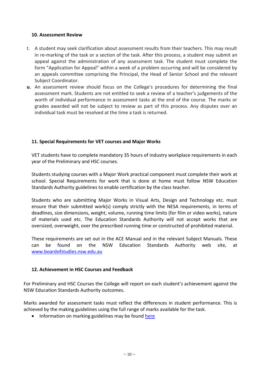#### <span id="page-9-0"></span>**10. Assessment Review**

- t. A student may seek clarification about assessment results from their teachers. This may result in re-marking of the task or a section of the task. After this process, a student may submit an appeal against the administration of any assessment task. The student must complete the form "Application for Appeal" within a week of a problem occurring and will be considered by an appeals committee comprising the Principal, the Head of Senior School and the relevant Subject Coordinator.
- **u.** An assessment review should focus on the College's procedures for determining the final assessment mark. Students are not entitled to seek a review of a teacher's judgements of the worth of individual performance in assessment tasks at the end of the course. The marks or grades awarded will not be subject to review as part of this process. Any disputes over an individual task must be resolved at the time a task is returned.

#### <span id="page-9-1"></span>**11. Special Requirements for VET courses and Major Works**

VET students have to complete mandatory 35 hours of industry workplace requirements in each year of the Preliminary and HSC courses.

Students studying courses with a Major Work practical component must complete their work at school. Special Requirements for work that is done at home must follow NSW Education Standards Authority guidelines to enable certification by the class teacher.

Students who are submitting Major Works in Visual Arts, Design and Technology etc. must ensure that their submitted work(s) comply strictly with the NESA requirements, in terms of deadlines, size dimensions, weight, volume, running time limits (for film or video works), nature of materials used etc. The Education Standards Authority will not accept works that are oversized, overweight, over the prescribed running time or constructed of prohibited material.

These requirements are set out in the ACE Manual and in the relevant Subject Manuals. These can be found on the NSW Education Standards Authority web site, at [www.boardofstudies.nsw.edu.au](http://www.boardofstudies.nsw.edu.au/)

#### <span id="page-9-2"></span>**12. Achievement in HSC Courses and Feedback**

For Preliminary and HSC Courses the College will report on each student's achievement against the NSW Education Standards Authority outcomes.

Marks awarded for assessment tasks must reflect the differences in student performance. This is achieved by the making guidelines using the full range of marks available for the task.

• Information on marking guidelines may be found [here](http://educationstandards.nsw.edu.au/wps/portal/nesa/11-12/hsc/about-HSC/exam-development/marking-guidelines-principles/!ut/p/z1/vVPLcoIwFP0WFywzuQkvXVJbpahV26KSjRMgaBQCKj7ary867VJpx5lmlczc80pOMMMzzBQ_yAUvZa54Wp0DZs2NZxdAB9ofmuM2OK_d1tihE6_XoXh6GaAOsYhrkN6w2yTgvA-JRT2bDn0TszOe0C4hTToAm9oVftQePbodCn3zGw9XlgO_w98YYLf9TzDDLFJlUS5xUBznUa5KoUoNim2-ElGJjiLUQIkd14AQRKgGy12kAQ_zfYkuW3HiGYrFQaR5kV2wGd-upVqgxV7GIpUVGhVbqSJZpGJ3FiwiGePAbEUJTQxA3LYoMogeIR6CjcButloiJHECxk_A6wnY7fubnvVqnqiOI6g82Fc9TCqRgxRH7Kt8m1WleftjRLdWwbpToYZev5Peq2tZ9Y3karNhTtW1c8FOJZ79T9mKzPf9rKl_oHUyeNKNwDt8PrwgFjiNxhdq3zLD/dz/d5/L2dBISEvZ0FBIS9nQSEh/?urile=wcm%3Apath%3A%2Fpw_content%2Fproject-web%2Fnesa%2F11-12%2Fhsc%2Fabout-HSC%2Fexam-development%2Fmarking-guidelines-principles)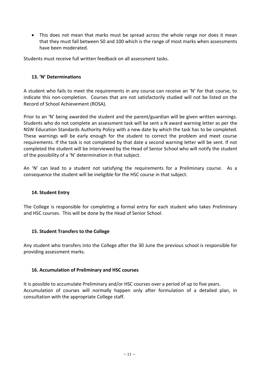This does not mean that marks must be spread across the whole range nor does it mean that they must fall between 50 and 100 which is the range of most marks when assessments have been moderated.

Students must receive full written feedback on all assessment tasks.

#### <span id="page-10-0"></span>**13. 'N' Determinations**

A student who fails to meet the requirements in any course can receive an 'N' for that course, to indicate this non-completion. Courses that are not satisfactorily studied will not be listed on the Record of School Achievement (ROSA).

Prior to an 'N' being awarded the student and the parent/guardian will be given written warnings. Students who do not complete an assessment task will be sent a N award warning letter as per the NSW Education Standards Authority Policy with a new date by which the task has to be completed. These warnings will be early enough for the student to correct the problem and meet course requirements. If the task is not completed by that date a second warning letter will be sent. If not completed the student will be interviewed by the Head of Senior School who will notify the student of the possibility of a 'N' determination in that subject.

An 'N' can lead to a student not satisfying the requirements for a Preliminary course. As a consequence the student will be ineligible for the HSC course in that subject.

#### <span id="page-10-1"></span>**14. Student Entry**

The College is responsible for completing a formal entry for each student who takes Preliminary and HSC courses. This will be done by the Head of Senior School.

#### <span id="page-10-2"></span>**15. Student Transfers to the College**

Any student who transfers into the College after the 30 June the previous school is responsible for providing assessment marks.

#### <span id="page-10-3"></span>**16. Accumulation of Preliminary and HSC courses**

It is possible to accumulate Preliminary and/or HSC courses over a period of up to five years. Accumulation of courses will normally happen only after formulation of a detailed plan, in consultation with the appropriate College staff.